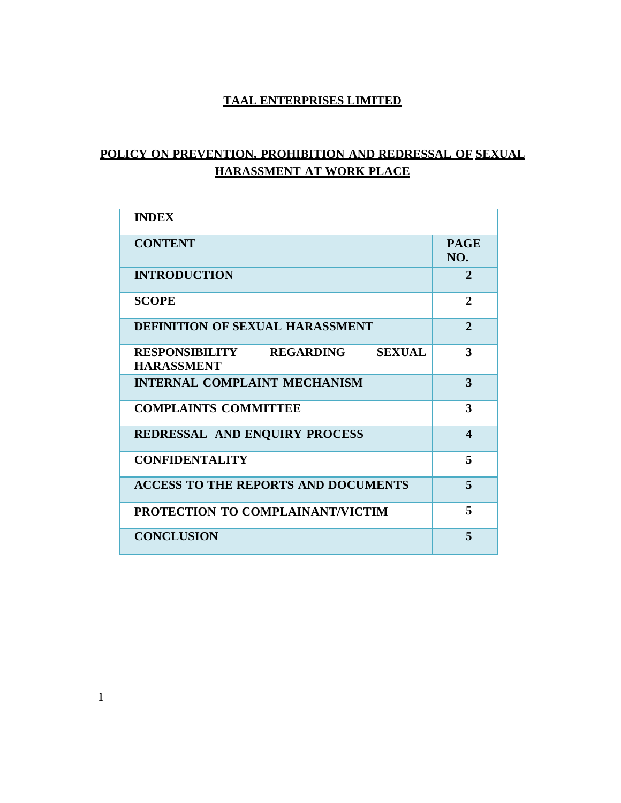# **TAAL ENTERPRISES LIMITED**

# **POLICY ON PREVENTION, PROHIBITION AND REDRESSAL OF SEXUAL HARASSMENT AT WORK PLACE**

| <b>INDEX</b>                                                             |                       |
|--------------------------------------------------------------------------|-----------------------|
| <b>CONTENT</b>                                                           | <b>PAGE</b><br>NO.    |
| <b>INTRODUCTION</b>                                                      | $\mathbf{2}$          |
| <b>SCOPE</b>                                                             | $\mathbf{2}$          |
| <b>DEFINITION OF SEXUAL HARASSMENT</b>                                   | $\overline{2}$        |
| RESPONSIBILITY<br><b>REGARDING</b><br><b>SEXUAL</b><br><b>HARASSMENT</b> | 3                     |
| <b>INTERNAL COMPLAINT MECHANISM</b>                                      | 3                     |
| <b>COMPLAINTS COMMITTEE</b>                                              | 3                     |
| REDRESSAL AND ENQUIRY PROCESS                                            | $\boldsymbol{\Delta}$ |
| <b>CONFIDENTALITY</b>                                                    | 5                     |
| <b>ACCESS TO THE REPORTS AND DOCUMENTS</b>                               | 5                     |
| PROTECTION TO COMPLAINANT/VICTIM                                         | 5                     |
| <b>CONCLUSION</b>                                                        | 5                     |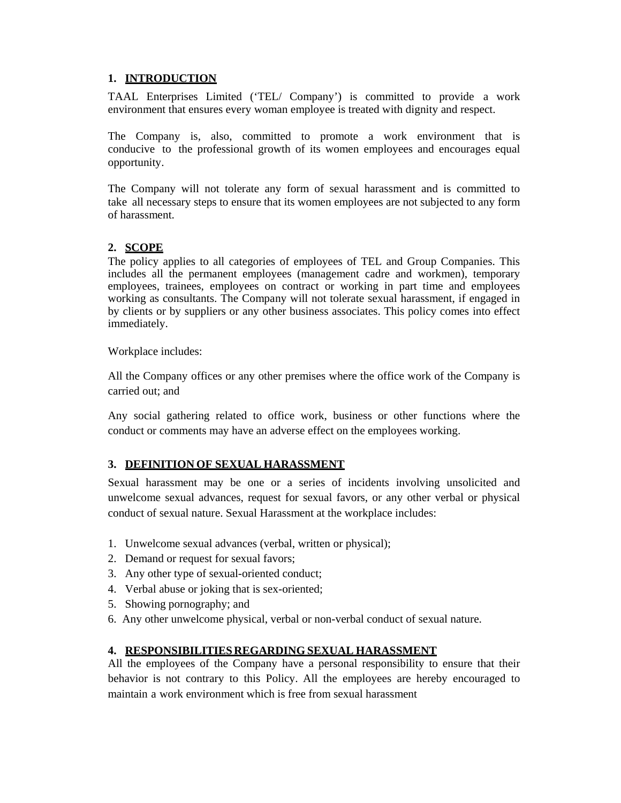### **1. INTRODUCTION**

TAAL Enterprises Limited ('TEL/ Company') is committed to provide a work environment that ensures every woman employee is treated with dignity and respect.

The Company is, also, committed to promote a work environment that is conducive to the professional growth of its women employees and encourages equal opportunity.

The Company will not tolerate any form of sexual harassment and is committed to take all necessary steps to ensure that its women employees are not subjected to any form of harassment.

#### **2. SCOPE**

The policy applies to all categories of employees of TEL and Group Companies. This includes all the permanent employees (management cadre and workmen), temporary employees, trainees, employees on contract or working in part time and employees working as consultants. The Company will not tolerate sexual harassment, if engaged in by clients or by suppliers or any other business associates. This policy comes into effect immediately.

Workplace includes:

All the Company offices or any other premises where the office work of the Company is carried out; and

Any social gathering related to office work, business or other functions where the conduct or comments may have an adverse effect on the employees working.

#### **3. DEFINITION OF SEXUAL HARASSMENT**

Sexual harassment may be one or a series of incidents involving unsolicited and unwelcome sexual advances, request for sexual favors, or any other verbal or physical conduct of sexual nature. Sexual Harassment at the workplace includes:

- 1. Unwelcome sexual advances (verbal, written or physical);
- 2. Demand or request for sexual favors;
- 3. Any other type of sexual-oriented conduct;
- 4. Verbal abuse or joking that is sex-oriented;
- 5. Showing pornography; and
- 6. Any other unwelcome physical, verbal or non-verbal conduct of sexual nature.

#### **4. RESPONSIBILITIES REGARDING SEXUAL HARASSMENT**

All the employees of the Company have a personal responsibility to ensure that their behavior is not contrary to this Policy. All the employees are hereby encouraged to maintain a work environment which is free from sexual harassment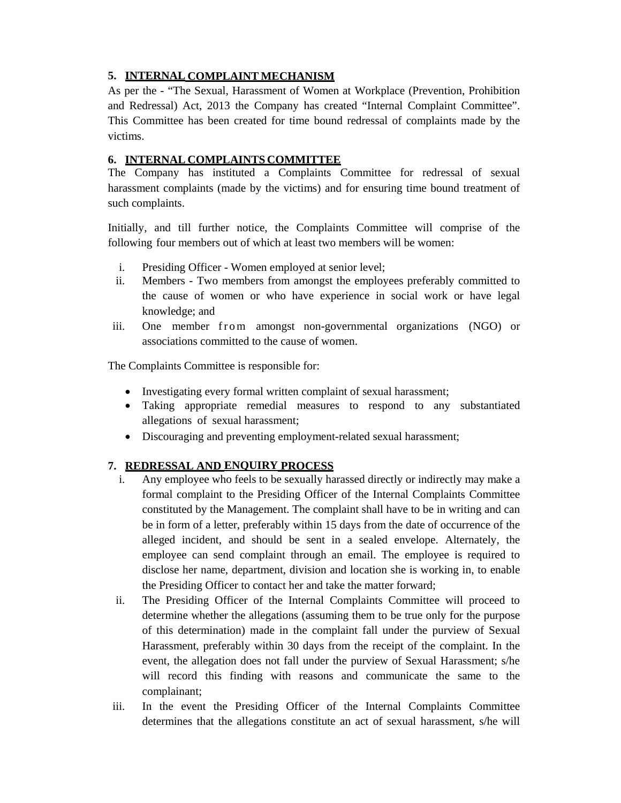# **5. INTERNAL COMPLAINT MECHANISM**

As per the - "The Sexual, Harassment of Women at Workplace (Prevention, Prohibition and Redressal) Act, 2013 the Company has created "Internal Complaint Committee". This Committee has been created for time bound redressal of complaints made by the victims.

### **6. INTERNAL COMPLAINTS COMMITTEE**

The Company has instituted a Complaints Committee for redressal of sexual harassment complaints (made by the victims) and for ensuring time bound treatment of such complaints.

Initially, and till further notice, the Complaints Committee will comprise of the following four members out of which at least two members will be women:

- i. Presiding Officer Women employed at senior level;
- ii. Members Two members from amongst the employees preferably committed to the cause of women or who have experience in social work or have legal knowledge; and
- iii. One member from amongst non-governmental organizations (NGO) or associations committed to the cause of women.

The Complaints Committee is responsible for:

- Investigating every formal written complaint of sexual harassment;
- Taking appropriate remedial measures to respond to any substantiated allegations of sexual harassment;
- Discouraging and preventing employment-related sexual harassment;

## **7. REDRESSAL AND ENQUIRY PROCESS**

- i. Any employee who feels to be sexually harassed directly or indirectly may make a formal complaint to the Presiding Officer of the Internal Complaints Committee constituted by the Management. The complaint shall have to be in writing and can be in form of a letter, preferably within 15 days from the date of occurrence of the alleged incident, and should be sent in a sealed envelope. Alternately, the employee can send complaint through an email. The employee is required to disclose her name, department, division and location she is working in, to enable the Presiding Officer to contact her and take the matter forward;
- ii. The Presiding Officer of the Internal Complaints Committee will proceed to determine whether the allegations (assuming them to be true only for the purpose of this determination) made in the complaint fall under the purview of Sexual Harassment, preferably within 30 days from the receipt of the complaint. In the event, the allegation does not fall under the purview of Sexual Harassment; s/he will record this finding with reasons and communicate the same to the complainant;
- iii. In the event the Presiding Officer of the Internal Complaints Committee determines that the allegations constitute an act of sexual harassment, s/he will